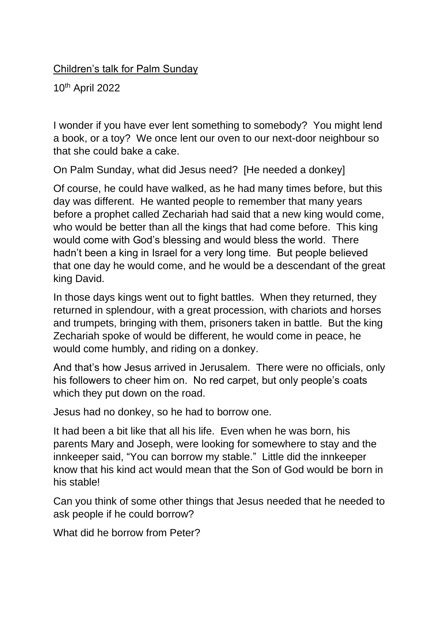## Children's talk for Palm Sunday

10th April 2022

I wonder if you have ever lent something to somebody? You might lend a book, or a toy? We once lent our oven to our next-door neighbour so that she could bake a cake.

On Palm Sunday, what did Jesus need? [He needed a donkey]

Of course, he could have walked, as he had many times before, but this day was different. He wanted people to remember that many years before a prophet called Zechariah had said that a new king would come, who would be better than all the kings that had come before. This king would come with God's blessing and would bless the world. There hadn't been a king in Israel for a very long time. But people believed that one day he would come, and he would be a descendant of the great king David.

In those days kings went out to fight battles. When they returned, they returned in splendour, with a great procession, with chariots and horses and trumpets, bringing with them, prisoners taken in battle. But the king Zechariah spoke of would be different, he would come in peace, he would come humbly, and riding on a donkey.

And that's how Jesus arrived in Jerusalem. There were no officials, only his followers to cheer him on. No red carpet, but only people's coats which they put down on the road.

Jesus had no donkey, so he had to borrow one.

It had been a bit like that all his life. Even when he was born, his parents Mary and Joseph, were looking for somewhere to stay and the innkeeper said, "You can borrow my stable." Little did the innkeeper know that his kind act would mean that the Son of God would be born in his stable!

Can you think of some other things that Jesus needed that he needed to ask people if he could borrow?

What did he borrow from Peter?